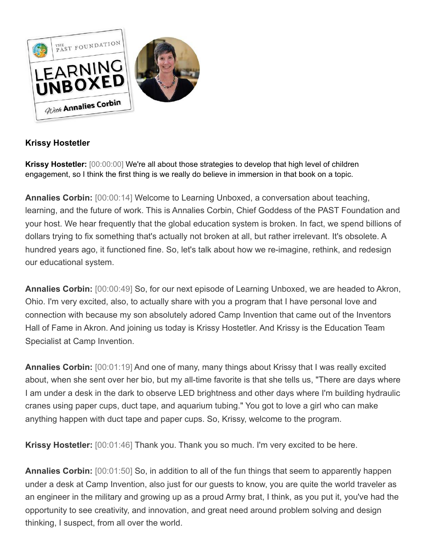

## **Krissy Hostetler**

**Krissy Hostetler:** [00:00:00] We're all about those strategies to develop that high level of children engagement, so I think the first thing is we really do believe in immersion in that book on a topic.

**Annalies Corbin:** [00:00:14] Welcome to Learning Unboxed, a conversation about teaching, learning, and the future of work. This is Annalies Corbin, Chief Goddess of the PAST Foundation and your host. We hear frequently that the global education system is broken. In fact, we spend billions of dollars trying to fix something that's actually not broken at all, but rather irrelevant. It's obsolete. A hundred years ago, it functioned fine. So, let's talk about how we re-imagine, rethink, and redesign our educational system.

**Annalies Corbin:** [00:00:49] So, for our next episode of Learning Unboxed, we are headed to Akron, Ohio. I'm very excited, also, to actually share with you a program that I have personal love and connection with because my son absolutely adored Camp Invention that came out of the Inventors Hall of Fame in Akron. And joining us today is Krissy Hostetler. And Krissy is the Education Team Specialist at Camp Invention.

**Annalies Corbin:** [00:01:19] And one of many, many things about Krissy that I was really excited about, when she sent over her bio, but my all-time favorite is that she tells us, "There are days where I am under a desk in the dark to observe LED brightness and other days where I'm building hydraulic cranes using paper cups, duct tape, and aquarium tubing." You got to love a girl who can make anything happen with duct tape and paper cups. So, Krissy, welcome to the program.

**Krissy Hostetler:** [00:01:46] Thank you. Thank you so much. I'm very excited to be here.

**Annalies Corbin:** [00:01:50] So, in addition to all of the fun things that seem to apparently happen under a desk at Camp Invention, also just for our guests to know, you are quite the world traveler as an engineer in the military and growing up as a proud Army brat, I think, as you put it, you've had the opportunity to see creativity, and innovation, and great need around problem solving and design thinking, I suspect, from all over the world.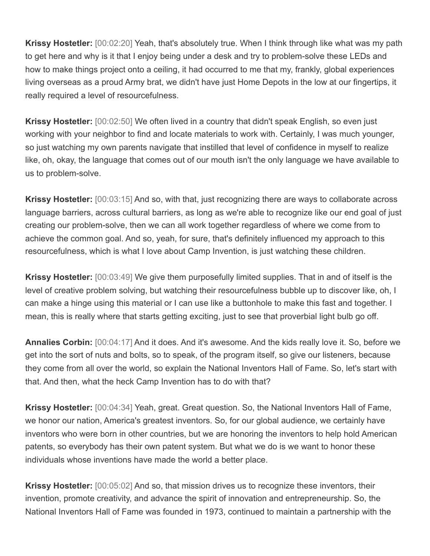**Krissy Hostetler:** [00:02:20] Yeah, that's absolutely true. When I think through like what was my path to get here and why is it that I enjoy being under a desk and try to problem-solve these LEDs and how to make things project onto a ceiling, it had occurred to me that my, frankly, global experiences living overseas as a proud Army brat, we didn't have just Home Depots in the low at our fingertips, it really required a level of resourcefulness.

**Krissy Hostetler:** [00:02:50] We often lived in a country that didn't speak English, so even just working with your neighbor to find and locate materials to work with. Certainly, I was much younger, so just watching my own parents navigate that instilled that level of confidence in myself to realize like, oh, okay, the language that comes out of our mouth isn't the only language we have available to us to problem-solve.

**Krissy Hostetler:** [00:03:15] And so, with that, just recognizing there are ways to collaborate across language barriers, across cultural barriers, as long as we're able to recognize like our end goal of just creating our problem-solve, then we can all work together regardless of where we come from to achieve the common goal. And so, yeah, for sure, that's definitely influenced my approach to this resourcefulness, which is what I love about Camp Invention, is just watching these children.

**Krissy Hostetler:** [00:03:49] We give them purposefully limited supplies. That in and of itself is the level of creative problem solving, but watching their resourcefulness bubble up to discover like, oh, I can make a hinge using this material or I can use like a buttonhole to make this fast and together. I mean, this is really where that starts getting exciting, just to see that proverbial light bulb go off.

**Annalies Corbin:** [00:04:17] And it does. And it's awesome. And the kids really love it. So, before we get into the sort of nuts and bolts, so to speak, of the program itself, so give our listeners, because they come from all over the world, so explain the National Inventors Hall of Fame. So, let's start with that. And then, what the heck Camp Invention has to do with that?

**Krissy Hostetler:** [00:04:34] Yeah, great. Great question. So, the National Inventors Hall of Fame, we honor our nation, America's greatest inventors. So, for our global audience, we certainly have inventors who were born in other countries, but we are honoring the inventors to help hold American patents, so everybody has their own patent system. But what we do is we want to honor these individuals whose inventions have made the world a better place.

**Krissy Hostetler:** [00:05:02] And so, that mission drives us to recognize these inventors, their invention, promote creativity, and advance the spirit of innovation and entrepreneurship. So, the National Inventors Hall of Fame was founded in 1973, continued to maintain a partnership with the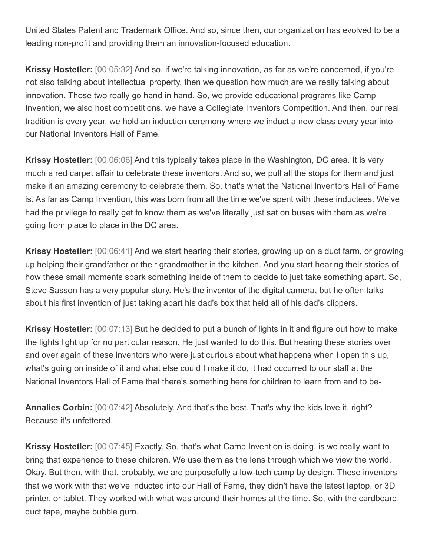United States Patent and Trademark Office. And so, since then, our organization has evolved to be a leading non-profit and providing them an innovation-focused education.

**Krissy Hostetler:** [00:05:32] And so, if we're talking innovation, as far as we're concerned, if you're not also talking about intellectual property, then we question how much are we really talking about innovation. Those two really go hand in hand. So, we provide educational programs like Camp Invention, we also host competitions, we have a Collegiate Inventors Competition. And then, our real tradition is every year, we hold an induction ceremony where we induct a new class every year into our National Inventors Hall of Fame.

**Krissy Hostetler:** [00:06:06] And this typically takes place in the Washington, DC area. It is very much a red carpet affair to celebrate these inventors. And so, we pull all the stops for them and just make it an amazing ceremony to celebrate them. So, that's what the National Inventors Hall of Fame is. As far as Camp Invention, this was born from all the time we've spent with these inductees. We've had the privilege to really get to know them as we've literally just sat on buses with them as we're going from place to place in the DC area.

**Krissy Hostetler:** [00:06:41] And we start hearing their stories, growing up on a duct farm, or growing up helping their grandfather or their grandmother in the kitchen. And you start hearing their stories of how these small moments spark something inside of them to decide to just take something apart. So, Steve Sasson has a very popular story. He's the inventor of the digital camera, but he often talks about his first invention of just taking apart his dad's box that held all of his dad's clippers.

**Krissy Hostetler:** [00:07:13] But he decided to put a bunch of lights in it and figure out how to make the lights light up for no particular reason. He just wanted to do this. But hearing these stories over and over again of these inventors who were just curious about what happens when I open this up, what's going on inside of it and what else could I make it do, it had occurred to our staff at the National Inventors Hall of Fame that there's something here for children to learn from and to be-

**Annalies Corbin:** [00:07:42] Absolutely. And that's the best. That's why the kids love it, right? Because it's unfettered.

**Krissy Hostetler:** [00:07:45] Exactly. So, that's what Camp Invention is doing, is we really want to bring that experience to these children. We use them as the lens through which we view the world. Okay. But then, with that, probably, we are purposefully a low-tech camp by design. These inventors that we work with that we've inducted into our Hall of Fame, they didn't have the latest laptop, or 3D printer, or tablet. They worked with what was around their homes at the time. So, with the cardboard, duct tape, maybe bubble gum.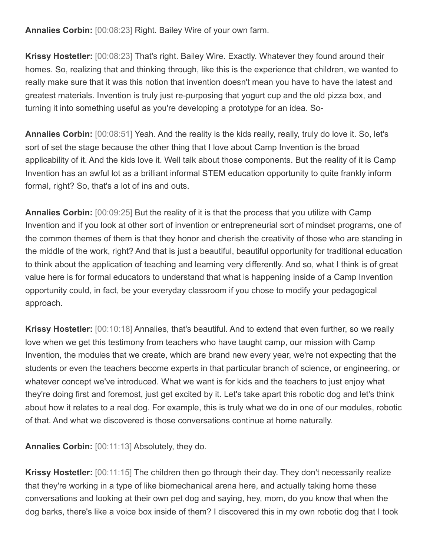**Annalies Corbin:** [00:08:23] Right. Bailey Wire of your own farm.

**Krissy Hostetler:** [00:08:23] That's right. Bailey Wire. Exactly. Whatever they found around their homes. So, realizing that and thinking through, like this is the experience that children, we wanted to really make sure that it was this notion that invention doesn't mean you have to have the latest and greatest materials. Invention is truly just re-purposing that yogurt cup and the old pizza box, and turning it into something useful as you're developing a prototype for an idea. So-

**Annalies Corbin:** [00:08:51] Yeah. And the reality is the kids really, really, truly do love it. So, let's sort of set the stage because the other thing that I love about Camp Invention is the broad applicability of it. And the kids love it. Well talk about those components. But the reality of it is Camp Invention has an awful lot as a brilliant informal STEM education opportunity to quite frankly inform formal, right? So, that's a lot of ins and outs.

**Annalies Corbin:** [00:09:25] But the reality of it is that the process that you utilize with Camp Invention and if you look at other sort of invention or entrepreneurial sort of mindset programs, one of the common themes of them is that they honor and cherish the creativity of those who are standing in the middle of the work, right? And that is just a beautiful, beautiful opportunity for traditional education to think about the application of teaching and learning very differently. And so, what I think is of great value here is for formal educators to understand that what is happening inside of a Camp Invention opportunity could, in fact, be your everyday classroom if you chose to modify your pedagogical approach.

**Krissy Hostetler:** [00:10:18] Annalies, that's beautiful. And to extend that even further, so we really love when we get this testimony from teachers who have taught camp, our mission with Camp Invention, the modules that we create, which are brand new every year, we're not expecting that the students or even the teachers become experts in that particular branch of science, or engineering, or whatever concept we've introduced. What we want is for kids and the teachers to just enjoy what they're doing first and foremost, just get excited by it. Let's take apart this robotic dog and let's think about how it relates to a real dog. For example, this is truly what we do in one of our modules, robotic of that. And what we discovered is those conversations continue at home naturally.

**Annalies Corbin:** [00:11:13] Absolutely, they do.

**Krissy Hostetler:** [00:11:15] The children then go through their day. They don't necessarily realize that they're working in a type of like biomechanical arena here, and actually taking home these conversations and looking at their own pet dog and saying, hey, mom, do you know that when the dog barks, there's like a voice box inside of them? I discovered this in my own robotic dog that I took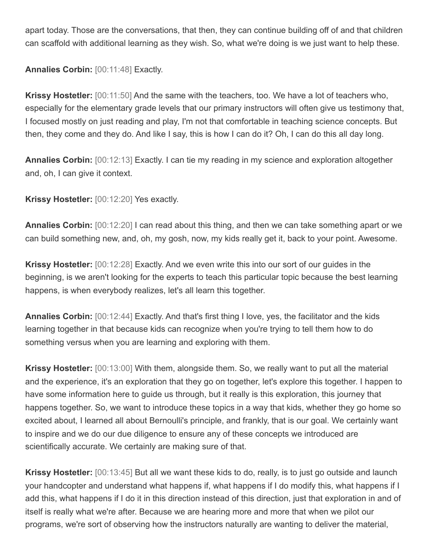apart today. Those are the conversations, that then, they can continue building off of and that children can scaffold with additional learning as they wish. So, what we're doing is we just want to help these.

**Annalies Corbin:** [00:11:48] Exactly.

**Krissy Hostetler:** [00:11:50] And the same with the teachers, too. We have a lot of teachers who, especially for the elementary grade levels that our primary instructors will often give us testimony that, I focused mostly on just reading and play, I'm not that comfortable in teaching science concepts. But then, they come and they do. And like I say, this is how I can do it? Oh, I can do this all day long.

**Annalies Corbin:** [00:12:13] Exactly. I can tie my reading in my science and exploration altogether and, oh, I can give it context.

**Krissy Hostetler:** [00:12:20] Yes exactly.

**Annalies Corbin:** [00:12:20] I can read about this thing, and then we can take something apart or we can build something new, and, oh, my gosh, now, my kids really get it, back to your point. Awesome.

**Krissy Hostetler:** [00:12:28] Exactly. And we even write this into our sort of our guides in the beginning, is we aren't looking for the experts to teach this particular topic because the best learning happens, is when everybody realizes, let's all learn this together.

**Annalies Corbin:** [00:12:44] Exactly. And that's first thing I love, yes, the facilitator and the kids learning together in that because kids can recognize when you're trying to tell them how to do something versus when you are learning and exploring with them.

**Krissy Hostetler:** [00:13:00] With them, alongside them. So, we really want to put all the material and the experience, it's an exploration that they go on together, let's explore this together. I happen to have some information here to guide us through, but it really is this exploration, this journey that happens together. So, we want to introduce these topics in a way that kids, whether they go home so excited about, I learned all about Bernoulli's principle, and frankly, that is our goal. We certainly want to inspire and we do our due diligence to ensure any of these concepts we introduced are scientifically accurate. We certainly are making sure of that.

**Krissy Hostetler:** [00:13:45] But all we want these kids to do, really, is to just go outside and launch your handcopter and understand what happens if, what happens if I do modify this, what happens if I add this, what happens if I do it in this direction instead of this direction, just that exploration in and of itself is really what we're after. Because we are hearing more and more that when we pilot our programs, we're sort of observing how the instructors naturally are wanting to deliver the material,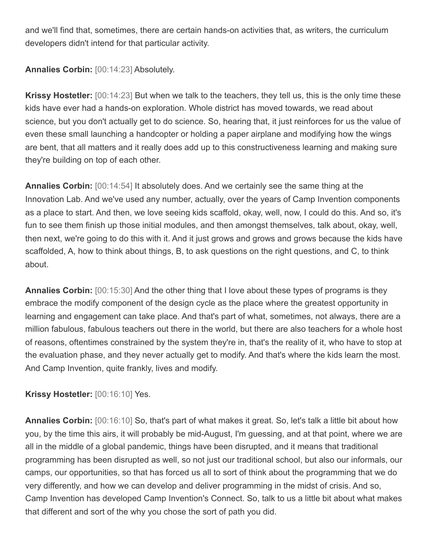and we'll find that, sometimes, there are certain hands-on activities that, as writers, the curriculum developers didn't intend for that particular activity.

**Annalies Corbin:** [00:14:23] Absolutely.

**Krissy Hostetler:** [00:14:23] But when we talk to the teachers, they tell us, this is the only time these kids have ever had a hands-on exploration. Whole district has moved towards, we read about science, but you don't actually get to do science. So, hearing that, it just reinforces for us the value of even these small launching a handcopter or holding a paper airplane and modifying how the wings are bent, that all matters and it really does add up to this constructiveness learning and making sure they're building on top of each other.

**Annalies Corbin:** [00:14:54] It absolutely does. And we certainly see the same thing at the Innovation Lab. And we've used any number, actually, over the years of Camp Invention components as a place to start. And then, we love seeing kids scaffold, okay, well, now, I could do this. And so, it's fun to see them finish up those initial modules, and then amongst themselves, talk about, okay, well, then next, we're going to do this with it. And it just grows and grows and grows because the kids have scaffolded, A, how to think about things, B, to ask questions on the right questions, and C, to think about.

**Annalies Corbin:** [00:15:30] And the other thing that I love about these types of programs is they embrace the modify component of the design cycle as the place where the greatest opportunity in learning and engagement can take place. And that's part of what, sometimes, not always, there are a million fabulous, fabulous teachers out there in the world, but there are also teachers for a whole host of reasons, oftentimes constrained by the system they're in, that's the reality of it, who have to stop at the evaluation phase, and they never actually get to modify. And that's where the kids learn the most. And Camp Invention, quite frankly, lives and modify.

**Krissy Hostetler:** [00:16:10] Yes.

**Annalies Corbin:** [00:16:10] So, that's part of what makes it great. So, let's talk a little bit about how you, by the time this airs, it will probably be mid-August, I'm guessing, and at that point, where we are all in the middle of a global pandemic, things have been disrupted, and it means that traditional programming has been disrupted as well, so not just our traditional school, but also our informals, our camps, our opportunities, so that has forced us all to sort of think about the programming that we do very differently, and how we can develop and deliver programming in the midst of crisis. And so, Camp Invention has developed Camp Invention's Connect. So, talk to us a little bit about what makes that different and sort of the why you chose the sort of path you did.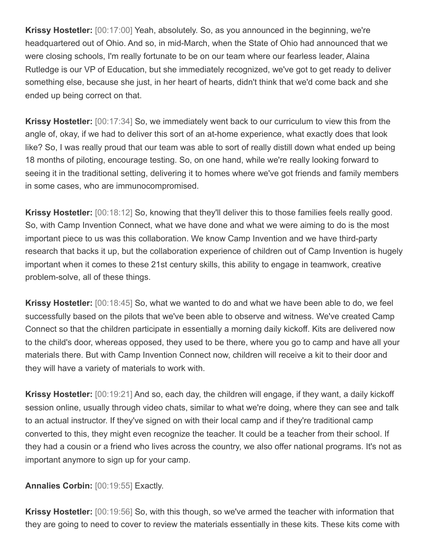**Krissy Hostetler:** [00:17:00] Yeah, absolutely. So, as you announced in the beginning, we're headquartered out of Ohio. And so, in mid-March, when the State of Ohio had announced that we were closing schools, I'm really fortunate to be on our team where our fearless leader, Alaina Rutledge is our VP of Education, but she immediately recognized, we've got to get ready to deliver something else, because she just, in her heart of hearts, didn't think that we'd come back and she ended up being correct on that.

**Krissy Hostetler:** [00:17:34] So, we immediately went back to our curriculum to view this from the angle of, okay, if we had to deliver this sort of an at-home experience, what exactly does that look like? So, I was really proud that our team was able to sort of really distill down what ended up being 18 months of piloting, encourage testing. So, on one hand, while we're really looking forward to seeing it in the traditional setting, delivering it to homes where we've got friends and family members in some cases, who are immunocompromised.

**Krissy Hostetler:** [00:18:12] So, knowing that they'll deliver this to those families feels really good. So, with Camp Invention Connect, what we have done and what we were aiming to do is the most important piece to us was this collaboration. We know Camp Invention and we have third-party research that backs it up, but the collaboration experience of children out of Camp Invention is hugely important when it comes to these 21st century skills, this ability to engage in teamwork, creative problem-solve, all of these things.

**Krissy Hostetler:** [00:18:45] So, what we wanted to do and what we have been able to do, we feel successfully based on the pilots that we've been able to observe and witness. We've created Camp Connect so that the children participate in essentially a morning daily kickoff. Kits are delivered now to the child's door, whereas opposed, they used to be there, where you go to camp and have all your materials there. But with Camp Invention Connect now, children will receive a kit to their door and they will have a variety of materials to work with.

**Krissy Hostetler:** [00:19:21] And so, each day, the children will engage, if they want, a daily kickoff session online, usually through video chats, similar to what we're doing, where they can see and talk to an actual instructor. If they've signed on with their local camp and if they're traditional camp converted to this, they might even recognize the teacher. It could be a teacher from their school. If they had a cousin or a friend who lives across the country, we also offer national programs. It's not as important anymore to sign up for your camp.

**Annalies Corbin:** [00:19:55] Exactly.

**Krissy Hostetler:** [00:19:56] So, with this though, so we've armed the teacher with information that they are going to need to cover to review the materials essentially in these kits. These kits come with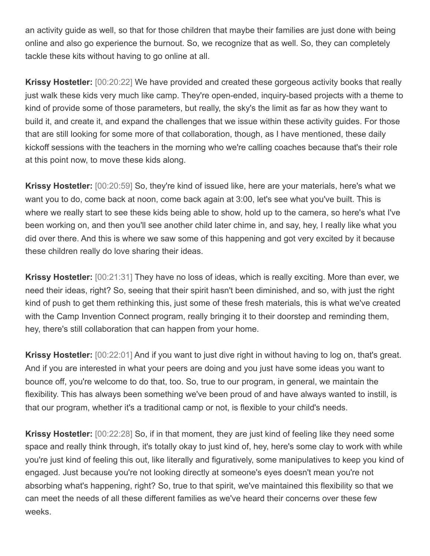an activity guide as well, so that for those children that maybe their families are just done with being online and also go experience the burnout. So, we recognize that as well. So, they can completely tackle these kits without having to go online at all.

**Krissy Hostetler:** [00:20:22] We have provided and created these gorgeous activity books that really just walk these kids very much like camp. They're open-ended, inquiry-based projects with a theme to kind of provide some of those parameters, but really, the sky's the limit as far as how they want to build it, and create it, and expand the challenges that we issue within these activity guides. For those that are still looking for some more of that collaboration, though, as I have mentioned, these daily kickoff sessions with the teachers in the morning who we're calling coaches because that's their role at this point now, to move these kids along.

**Krissy Hostetler:** [00:20:59] So, they're kind of issued like, here are your materials, here's what we want you to do, come back at noon, come back again at 3:00, let's see what you've built. This is where we really start to see these kids being able to show, hold up to the camera, so here's what I've been working on, and then you'll see another child later chime in, and say, hey, I really like what you did over there. And this is where we saw some of this happening and got very excited by it because these children really do love sharing their ideas.

**Krissy Hostetler:** [00:21:31] They have no loss of ideas, which is really exciting. More than ever, we need their ideas, right? So, seeing that their spirit hasn't been diminished, and so, with just the right kind of push to get them rethinking this, just some of these fresh materials, this is what we've created with the Camp Invention Connect program, really bringing it to their doorstep and reminding them, hey, there's still collaboration that can happen from your home.

**Krissy Hostetler:** [00:22:01] And if you want to just dive right in without having to log on, that's great. And if you are interested in what your peers are doing and you just have some ideas you want to bounce off, you're welcome to do that, too. So, true to our program, in general, we maintain the flexibility. This has always been something we've been proud of and have always wanted to instill, is that our program, whether it's a traditional camp or not, is flexible to your child's needs.

**Krissy Hostetler:** [00:22:28] So, if in that moment, they are just kind of feeling like they need some space and really think through, it's totally okay to just kind of, hey, here's some clay to work with while you're just kind of feeling this out, like literally and figuratively, some manipulatives to keep you kind of engaged. Just because you're not looking directly at someone's eyes doesn't mean you're not absorbing what's happening, right? So, true to that spirit, we've maintained this flexibility so that we can meet the needs of all these different families as we've heard their concerns over these few weeks.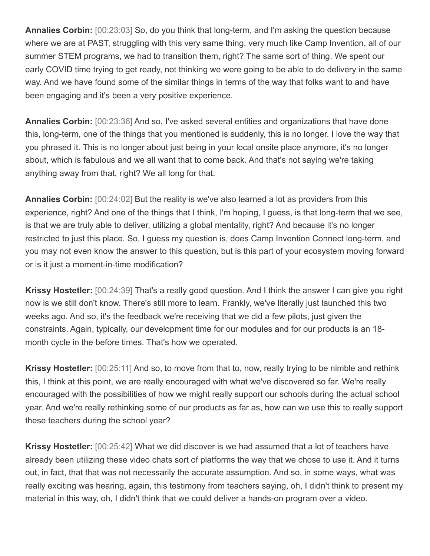**Annalies Corbin:** [00:23:03] So, do you think that long-term, and I'm asking the question because where we are at PAST, struggling with this very same thing, very much like Camp Invention, all of our summer STEM programs, we had to transition them, right? The same sort of thing. We spent our early COVID time trying to get ready, not thinking we were going to be able to do delivery in the same way. And we have found some of the similar things in terms of the way that folks want to and have been engaging and it's been a very positive experience.

**Annalies Corbin:** [00:23:36] And so, I've asked several entities and organizations that have done this, long-term, one of the things that you mentioned is suddenly, this is no longer. I love the way that you phrased it. This is no longer about just being in your local onsite place anymore, it's no longer about, which is fabulous and we all want that to come back. And that's not saying we're taking anything away from that, right? We all long for that.

**Annalies Corbin:** [00:24:02] But the reality is we've also learned a lot as providers from this experience, right? And one of the things that I think, I'm hoping, I guess, is that long-term that we see, is that we are truly able to deliver, utilizing a global mentality, right? And because it's no longer restricted to just this place. So, I guess my question is, does Camp Invention Connect long-term, and you may not even know the answer to this question, but is this part of your ecosystem moving forward or is it just a moment-in-time modification?

**Krissy Hostetler:** [00:24:39] That's a really good question. And I think the answer I can give you right now is we still don't know. There's still more to learn. Frankly, we've literally just launched this two weeks ago. And so, it's the feedback we're receiving that we did a few pilots, just given the constraints. Again, typically, our development time for our modules and for our products is an 18 month cycle in the before times. That's how we operated.

**Krissy Hostetler:** [00:25:11] And so, to move from that to, now, really trying to be nimble and rethink this, I think at this point, we are really encouraged with what we've discovered so far. We're really encouraged with the possibilities of how we might really support our schools during the actual school year. And we're really rethinking some of our products as far as, how can we use this to really support these teachers during the school year?

**Krissy Hostetler:** [00:25:42] What we did discover is we had assumed that a lot of teachers have already been utilizing these video chats sort of platforms the way that we chose to use it. And it turns out, in fact, that that was not necessarily the accurate assumption. And so, in some ways, what was really exciting was hearing, again, this testimony from teachers saying, oh, I didn't think to present my material in this way, oh, I didn't think that we could deliver a hands-on program over a video.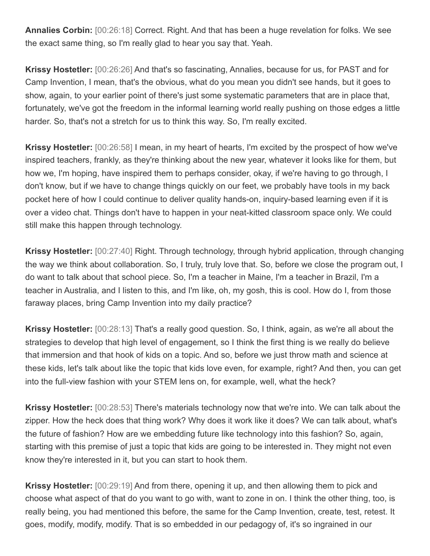**Annalies Corbin:** [00:26:18] Correct. Right. And that has been a huge revelation for folks. We see the exact same thing, so I'm really glad to hear you say that. Yeah.

**Krissy Hostetler:** [00:26:26] And that's so fascinating, Annalies, because for us, for PAST and for Camp Invention, I mean, that's the obvious, what do you mean you didn't see hands, but it goes to show, again, to your earlier point of there's just some systematic parameters that are in place that, fortunately, we've got the freedom in the informal learning world really pushing on those edges a little harder. So, that's not a stretch for us to think this way. So, I'm really excited.

**Krissy Hostetler:** [00:26:58] I mean, in my heart of hearts, I'm excited by the prospect of how we've inspired teachers, frankly, as they're thinking about the new year, whatever it looks like for them, but how we, I'm hoping, have inspired them to perhaps consider, okay, if we're having to go through, I don't know, but if we have to change things quickly on our feet, we probably have tools in my back pocket here of how I could continue to deliver quality hands-on, inquiry-based learning even if it is over a video chat. Things don't have to happen in your neat-kitted classroom space only. We could still make this happen through technology.

**Krissy Hostetler:** [00:27:40] Right. Through technology, through hybrid application, through changing the way we think about collaboration. So, I truly, truly love that. So, before we close the program out, I do want to talk about that school piece. So, I'm a teacher in Maine, I'm a teacher in Brazil, I'm a teacher in Australia, and I listen to this, and I'm like, oh, my gosh, this is cool. How do I, from those faraway places, bring Camp Invention into my daily practice?

**Krissy Hostetler:** [00:28:13] That's a really good question. So, I think, again, as we're all about the strategies to develop that high level of engagement, so I think the first thing is we really do believe that immersion and that hook of kids on a topic. And so, before we just throw math and science at these kids, let's talk about like the topic that kids love even, for example, right? And then, you can get into the full-view fashion with your STEM lens on, for example, well, what the heck?

**Krissy Hostetler:** [00:28:53] There's materials technology now that we're into. We can talk about the zipper. How the heck does that thing work? Why does it work like it does? We can talk about, what's the future of fashion? How are we embedding future like technology into this fashion? So, again, starting with this premise of just a topic that kids are going to be interested in. They might not even know they're interested in it, but you can start to hook them.

**Krissy Hostetler:** [00:29:19] And from there, opening it up, and then allowing them to pick and choose what aspect of that do you want to go with, want to zone in on. I think the other thing, too, is really being, you had mentioned this before, the same for the Camp Invention, create, test, retest. It goes, modify, modify, modify. That is so embedded in our pedagogy of, it's so ingrained in our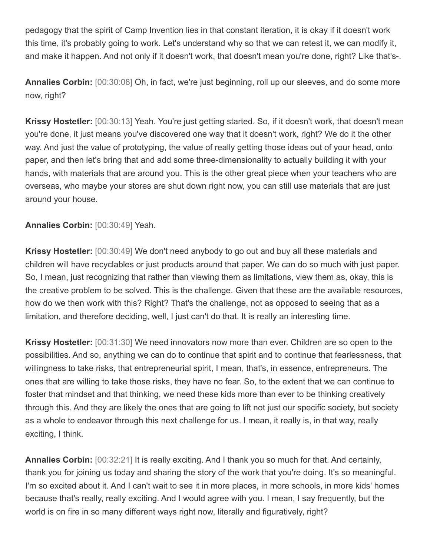pedagogy that the spirit of Camp Invention lies in that constant iteration, it is okay if it doesn't work this time, it's probably going to work. Let's understand why so that we can retest it, we can modify it, and make it happen. And not only if it doesn't work, that doesn't mean you're done, right? Like that's-.

**Annalies Corbin:** [00:30:08] Oh, in fact, we're just beginning, roll up our sleeves, and do some more now, right?

**Krissy Hostetler:** [00:30:13] Yeah. You're just getting started. So, if it doesn't work, that doesn't mean you're done, it just means you've discovered one way that it doesn't work, right? We do it the other way. And just the value of prototyping, the value of really getting those ideas out of your head, onto paper, and then let's bring that and add some three-dimensionality to actually building it with your hands, with materials that are around you. This is the other great piece when your teachers who are overseas, who maybe your stores are shut down right now, you can still use materials that are just around your house.

**Annalies Corbin:** [00:30:49] Yeah.

**Krissy Hostetler:** [00:30:49] We don't need anybody to go out and buy all these materials and children will have recyclables or just products around that paper. We can do so much with just paper. So, I mean, just recognizing that rather than viewing them as limitations, view them as, okay, this is the creative problem to be solved. This is the challenge. Given that these are the available resources, how do we then work with this? Right? That's the challenge, not as opposed to seeing that as a limitation, and therefore deciding, well, I just can't do that. It is really an interesting time.

**Krissy Hostetler:** [00:31:30] We need innovators now more than ever. Children are so open to the possibilities. And so, anything we can do to continue that spirit and to continue that fearlessness, that willingness to take risks, that entrepreneurial spirit, I mean, that's, in essence, entrepreneurs. The ones that are willing to take those risks, they have no fear. So, to the extent that we can continue to foster that mindset and that thinking, we need these kids more than ever to be thinking creatively through this. And they are likely the ones that are going to lift not just our specific society, but society as a whole to endeavor through this next challenge for us. I mean, it really is, in that way, really exciting, I think.

**Annalies Corbin:** [00:32:21] It is really exciting. And I thank you so much for that. And certainly, thank you for joining us today and sharing the story of the work that you're doing. It's so meaningful. I'm so excited about it. And I can't wait to see it in more places, in more schools, in more kids' homes because that's really, really exciting. And I would agree with you. I mean, I say frequently, but the world is on fire in so many different ways right now, literally and figuratively, right?